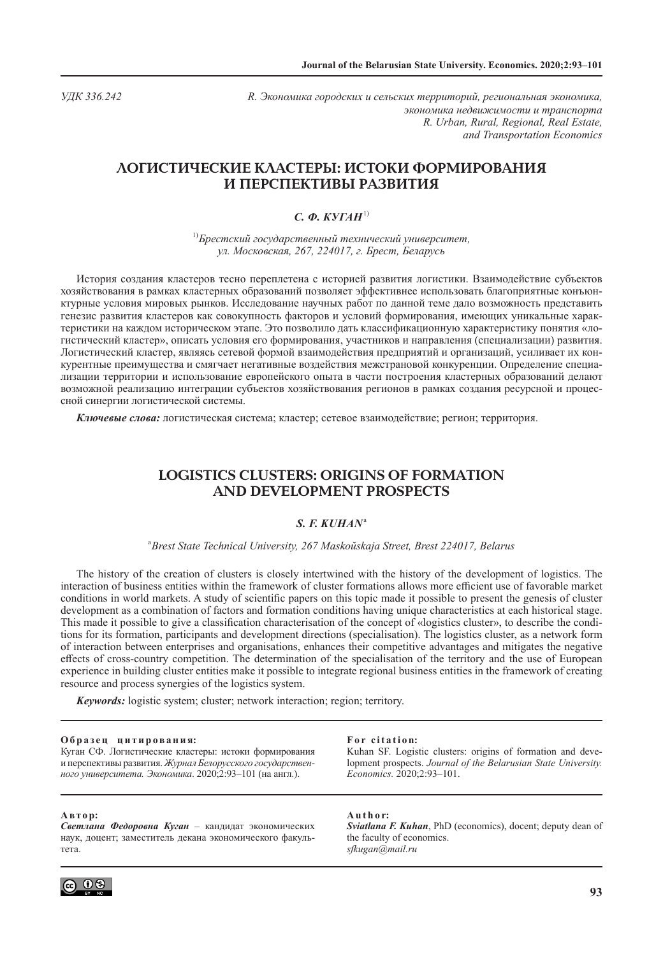*УДК 336.242 R. Экономика городских и сельских территорий, региональная экономика, экономика недвижимости и транспорта R. Urban, Rural, Regional, Real Estate, and Transportation Economics*

# **ЛОГИСТИЧЕСКИЕ КЛАСТЕРЫ: ИСТОКИ ФОРМИРОВАНИЯ И ПЕРСПЕКТИВЫ РАЗВИТИЯ**

# *C. Ф. КУГАН*1)

1) *Брестский государственный технический университет, ул. Московская, 267, 224017, г. Брест, Беларусь*

История создания кластеров тесно переплетена с историей развития логистики. Взаимодействие субъектов хозяйствования в рамках кластерных образований позволяет эффективнее использовать благоприятные конъюнктурные условия мировых рынков. Исследование научных работ по данной теме дало возможность представить генезис развития кластеров как совокупность факторов и условий формирования, имеющих уникальные характеристики на каждом историческом этапе. Это позволило дать классификационную характеристику понятия «логистический кластер», описать условия его формирования, участников и направления (специализации) развития. Логистический кластер, являясь сетевой формой взаимодействия предприятий и организаций, усиливает их конкурентные преимущества и смягчает негативные воздействия межстрановой конкуренции. Определение специализации территории и использование европейского опыта в части построения кластерных образований делают возможной реализацию интеграции субъектов хозяйствования регионов в рамках создания ресурсной и процессной синергии логистической системы.

*Ключевые слова:* логистическая система; кластер; сетевое взаимодействие; регион; территория.

# **LOGISTICS CLUSTERS: ORIGINS OF FORMATION AND DEVELOPMENT PROSPECTS**

## *S. F. KUHAN*<sup>a</sup>

<sup>a</sup>*Brest State Technical University, 267 Maskoŭskaja Street, Brest 224017, Belarus*

The history of the creation of clusters is closely intertwined with the history of the development of logistics. The interaction of business entities within the framework of cluster formations allows more efficient use of favorable market conditions in world markets. A study of scientific papers on this topic made it possible to present the genesis of cluster development as a combination of factors and formation conditions having unique characteristics at each historical stage. This made it possible to give a classification characterisation of the concept of «logistics cluster», to describe the conditions for its formation, participants and development directions (specialisation). The logistics cluster, as a network form of interaction between enterprises and organisations, enhances their competitive advantages and mitigates the negative effects of cross-country competition. The determination of the specialisation of the territory and the use of European experience in building cluster entities make it possible to integrate regional business entities in the framework of creating resource and process synergies of the logistics system.

*Keywords:* logistic system; cluster; network interaction; region; territory.

#### **О б р а з е ц ц и т и р о в а н и я:**

Куган СФ. Логистические кластеры: истоки формирования и перспективы развития. *Журнал Белорусского государственного университета. Экономика*. 2020;2:93–101 (на англ.).

### **А вт о р:**

*Светлана Федоровна Куган* – кандидат экономических наук, доцент; заместитель декана экономического факультета.



#### **For citation:**

Kuhan SF. Logistic clusters: origins of formation and development prospects. *Journal of the Belarusian State University. Economics.* 2020;2:93–101.

**A u t h o r:**

*Sviatlana F. Kuhan*, PhD (economics), docent; deputy dean of the faculty of economics. *sfkugan@mail.ru*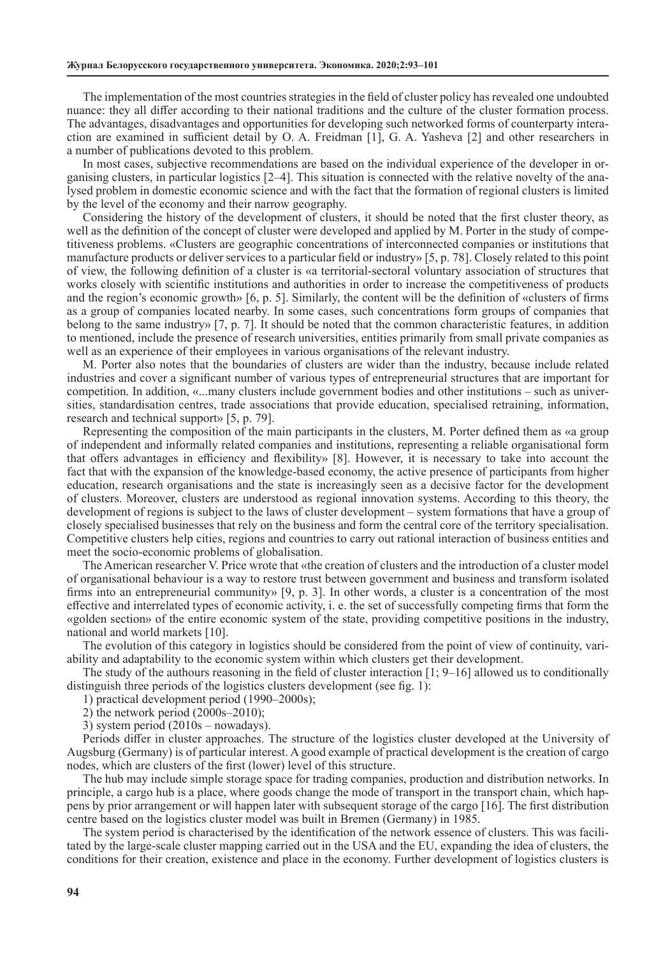The implementation of the most countries strategies in the field of cluster policy has revealed one undoubted nuance: they all differ according to their national traditions and the culture of the cluster formation process. The advantages, disadvantages and opportunities for developing such networked forms of counterparty interaction are examined in sufficient detail by O. A. Freidman [1], G. A. Yasheva [2] and other researchers in a number of publications devoted to this problem.

In most cases, subjective recommendations are based on the individual experience of the developer in organising clusters, in particular logistics [2–4]. This situation is connected with the relative novelty of the analysed problem in domestic economic science and with the fact that the formation of regional clusters is limited by the level of the economy and their narrow geography.

Considering the history of the development of clusters, it should be noted that the first cluster theory, as well as the definition of the concept of cluster were developed and applied by M. Porter in the study of competitiveness problems. «Clusters are geographic concentrations of interconnected companies or institutions that manufacture products or deliver services to a particular field or industry» [5, p. 78]. Closely related to this point of view, the following definition of a cluster is «a territorial-sectoral voluntary association of structures that works closely with scientific institutions and authorities in order to increase the competitiveness of products and the region's economic growth» [6, p. 5]. Similarly, the content will be the definition of «clusters of firms as a group of companies located nearby. In some cases, such concentrations form groups of companies that belong to the same industry» [7, p. 7]. It should be noted that the common characteristic features, in addition to mentioned, include the presence of research universities, entities primarily from small private companies as well as an experience of their employees in various organisations of the relevant industry.

M. Porter also notes that the boundaries of clusters are wider than the industry, because include related industries and cover a significant number of various types of entrepreneurial structures that are important for competition. In addition, «...many clusters include government bodies and other institutions – such as universities, standardisation centres, trade associations that provide education, specialised retraining, information, research and technical support» [5, p. 79].

Representing the composition of the main participants in the clusters, M. Porter defined them as «a group of independent and informally related companies and institutions, representing a reliable organisational form that offers advantages in efficiency and flexibility» [8]. However, it is necessary to take into account the fact that with the expansion of the knowledge-based economy, the active presence of participants from higher education, research organisations and the state is increasingly seen as a decisive factor for the development of clusters. Moreover, clusters are understood as regional innovation systems. According to this theory, the development of regions is subject to the laws of cluster development – system formations that have a group of closely specialised businesses that rely on the business and form the central core of the territory specialisation. Competitive clusters help cities, regions and countries to carry out rational interaction of business entities and meet the socio-economic problems of globalisation.

The American researcher V. Price wrote that «the creation of clusters and the introduction of a cluster model of organisational behaviour is a way to restore trust between government and business and transform isolated firms into an entrepreneurial community» [9, p. 3]. In other words, a cluster is a concentration of the most effective and interrelated types of economic activity, i. e. the set of successfully competing firms that form the «golden section» of the entire economic system of the state, providing competitive positions in the industry, national and world markets [10].

The evolution of this category in logistics should be considered from the point of view of continuity, variability and adaptability to the economic system within which clusters get their development.

The study of the authours reasoning in the field of cluster interaction [1; 9–16] allowed us to conditionally distinguish three periods of the logistics clusters development (see fig. 1):

1) practical development period (1990–2000s);

2) the network period (2000s–2010);

3) system period (2010s – nowadays).

Periods differ in cluster approaches. The structure of the logistics cluster developed at the University of Augsburg (Germany) is of particular interest. A good example of practical development is the creation of cargo nodes, which are clusters of the first (lower) level of this structure.

The hub may include simple storage space for trading companies, production and distribution networks. In principle, a cargo hub is a place, where goods change the mode of transport in the transport chain, which happens by prior arrangement or will happen later with subsequent storage of the cargo [16]. The first distribution centre based on the logistics cluster model was built in Bremen (Germany) in 1985.

The system period is characterised by the identification of the network essence of clusters. This was facilitated by the large-scale cluster mapping carried out in the USA and the EU, expanding the idea of clusters, the conditions for their creation, existence and place in the economy. Further development of logistics clusters is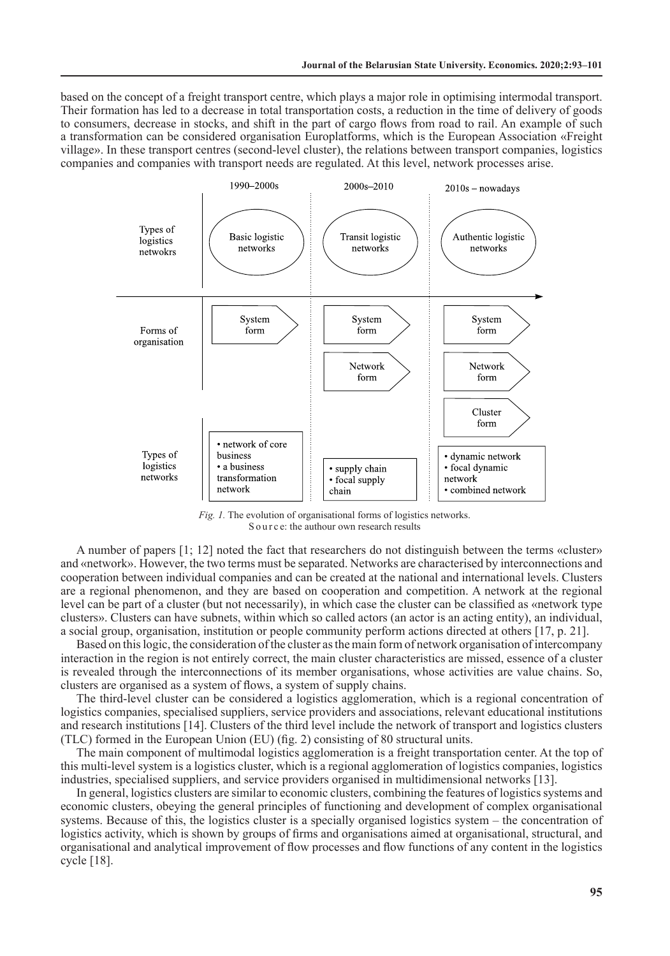based on the concept of a freight transport centre, which plays a major role in optimising intermodal transport. Their formation has led to a decrease in total transportation costs, a reduction in the time of delivery of goods to consumers, decrease in stocks, and shift in the part of cargo flows from road to rail. An example of such a transformation can be considered organisation Europlatforms, which is the European Association «Freight village». In these transport centres (second-level cluster), the relations between transport companies, logistics companies and companies with transport needs are regulated. At this level, network processes arise.



*Fig. 1.* The evolution of organisational forms of logistics networks. S o u r c e: the authour own research results

A number of papers [1; 12] noted the fact that researchers do not distinguish between the terms «cluster» and «network». However, the two terms must be separated. Networks are characterised by interconnections and cooperation between individual companies and can be created at the national and international levels. Clusters are a regional phenomenon, and they are based on cooperation and competition. A network at the regional level can be part of a cluster (but not necessarily), in which case the cluster can be classified as «network type clusters». Clusters can have subnets, within which so called actors (an actor is an acting entity), an individual, a social group, organisation, institution or people community perform actions directed at others [17, p. 21].

Based on this logic, the consideration of the cluster as the main form of network organisation of intercompany interaction in the region is not entirely correct, the main cluster characteristics are missed, essence of a cluster is revealed through the interconnections of its member organisations, whose activities are value chains. So, clusters are organised as a system of flows, a system of supply chains.

The third-level cluster can be considered a logistics agglomeration, which is a regional concentration of logistics companies, specialised suppliers, service providers and associations, relevant educational institutions and research institutions [14]. Clusters of the third level include the network of transport and logistics clusters (TLC) formed in the European Union (EU) (fig. 2) consisting of 80 structural units.

The main component of multimodal logistics agglomeration is a freight transportation center. At the top of this multi-level system is a logistics cluster, which is a regional agglomeration of logistics companies, logistics industries, specialised suppliers, and service providers organised in multidimensional networks [13].

In general, logistics clusters are similar to economic clusters, combining the features of logistics systems and economic clusters, obeying the general principles of functioning and development of complex organisational systems. Because of this, the logistics cluster is a specially organised logistics system – the concentration of logistics activity, which is shown by groups of firms and organisations aimed at organisational, structural, and organisational and analytical improvement of flow processes and flow functions of any content in the logistics cycle [18].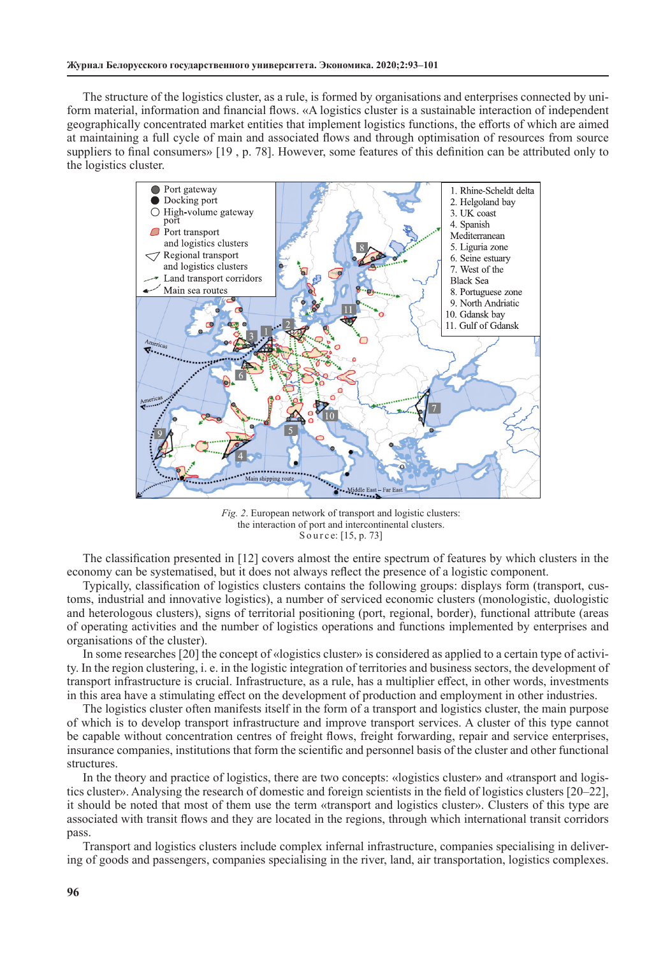The structure of the logistics cluster, as a rule, is formed by organisations and enterprises connected by uniform material, information and financial flows. «A logistics cluster is a sustainable interaction of independent geographically concentrated market entities that implement logistics functions, the efforts of which are aimed at maintaining a full cycle of main and associated flows and through optimisation of resources from source suppliers to final consumers» [19 , p. 78]. However, some features of this definition can be attributed only to the logistics cluster.



*Fig. 2*. European network of transport and logistic clusters: the interaction of port and intercontinental clusters. Source: [15, p. 73]

The classification presented in [12] covers almost the entire spectrum of features by which clusters in the economy can be systematised, but it does not always reflect the presence of a logistic component.

Typically, classification of logistics clusters contains the following groups: displays form (transport, customs, industrial and innovative logistics), a number of serviced economic clusters (monologistic, duologistic and heterologous clusters), signs of territorial positioning (port, regional, border), functional attribute (areas of operating activities and the number of logistics operations and functions implemented by enterprises and organisations of the cluster).

In some researches [20] the concept of «logistics cluster» is considered as applied to a certain type of activity. In the region clustering, i. e. in the logistic integration of territories and business sectors, the development of transport infrastructure is crucial. Infrastructure, as a rule, has a multiplier effect, in other words, investments in this area have a stimulating effect on the development of production and employment in other industries.

The logistics cluster often manifests itself in the form of a transport and logistics cluster, the main purpose of which is to develop transport infrastructure and improve transport services. A cluster of this type cannot be capable without concentration centres of freight flows, freight forwarding, repair and service enterprises, insurance companies, institutions that form the scientific and personnel basis of the cluster and other functional structures.

In the theory and practice of logistics, there are two concepts: «logistics cluster» and «transport and logistics cluster». Analysing the research of domestic and foreign scientists in the field of logistics clusters [20–22], it should be noted that most of them use the term «transport and logistics cluster». Clusters of this type are associated with transit flows and they are located in the regions, through which international transit corridors pass.

Transport and logistics clusters include complex infernal infrastructure, companies specialising in delivering of goods and passengers, companies specialising in the river, land, air transportation, logistics complexes.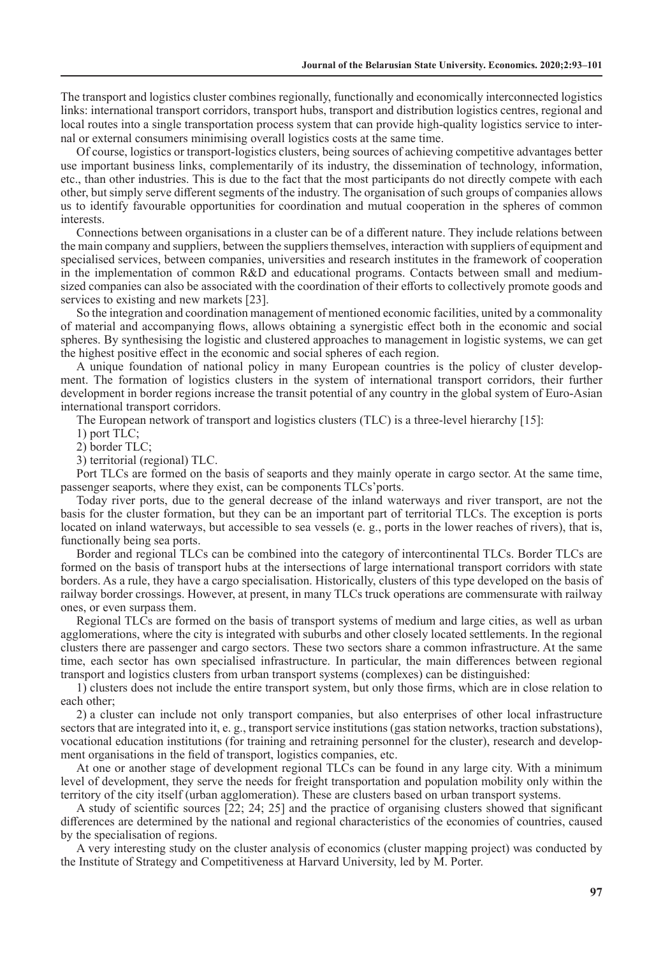The transport and logistics cluster combines regionally, functionally and economically interconnected logistics links: international transport corridors, transport hubs, transport and distribution logistics centres, regional and local routes into a single transportation process system that can provide high-quality logistics service to internal or external consumers minimising overall logistics costs at the same time.

Of course, logistics or transport-logistics clusters, being sources of achieving competitive advantages better use important business links, complementarily of its industry, the dissemination of technology, information, etc., than other industries. This is due to the fact that the most participants do not directly compete with each other, but simply serve different segments of the industry. The organisation of such groups of companies allows us to identify favourable opportunities for coordination and mutual cooperation in the spheres of common interests.

Connections between organisations in a cluster can be of a different nature. They include relations between the main company and suppliers, between the suppliers themselves, interaction with suppliers of equipment and specialised services, between companies, universities and research institutes in the framework of cooperation in the implementation of common R&D and educational programs. Contacts between small and mediumsized companies can also be associated with the coordination of their efforts to collectively promote goods and services to existing and new markets [23].

So the integration and coordination management of mentioned economic facilities, united by a commonality of material and accompanying flows, allows obtaining a synergistic effect both in the economic and social spheres. By synthesising the logistic and clustered approaches to management in logistic systems, we can get the highest positive effect in the economic and social spheres of each region.

A unique foundation of national policy in many European countries is the policy of cluster development. The formation of logistics clusters in the system of international transport corridors, their further development in border regions increase the transit potential of any country in the global system of Euro-Asian international transport corridors.

The European network of transport and logistics clusters (TLC) is a three-level hierarchy [15]:

1) port TLC;

2) border TLC;

3) territorial (regional) TLC.

Port TLCs are formed on the basis of seaports and they mainly operate in cargo sector. At the same time, passenger seaports, where they exist, can be components TLCs'ports.

Today river ports, due to the general decrease of the inland waterways and river transport, are not the basis for the cluster formation, but they can be an important part of territorial TLCs. The exception is ports located on inland waterways, but accessible to sea vessels (e. g., ports in the lower reaches of rivers), that is, functionally being sea ports.

Border and regional TLCs can be combined into the category of intercontinental TLCs. Border TLCs are formed on the basis of transport hubs at the intersections of large international transport corridors with state borders. As a rule, they have a cargo specialisation. Historically, clusters of this type developed on the basis of railway border crossings. However, at present, in many TLCs truck operations are commensurate with railway ones, or even surpass them.

Regional TLCs are formed on the basis of transport systems of medium and large cities, as well as urban agglomerations, where the city is integrated with suburbs and other closely located settlements. In the regional clusters there are passenger and cargo sectors. These two sectors share a common infrastructure. At the same time, each sector has own specialised infrastructure. In particular, the main differences between regional transport and logistics clusters from urban transport systems (complexes) can be distinguished:

1) clusters does not include the entire transport system, but only those firms, which are in close relation to each other;

2) a cluster can include not only transport companies, but also enterprises of other local infrastructure sectors that are integrated into it, e. g., transport service institutions (gas station networks, traction substations), vocational education institutions (for training and retraining personnel for the cluster), research and development organisations in the field of transport, logistics companies, etc.

At one or another stage of development regional TLCs can be found in any large city. With a minimum level of development, they serve the needs for freight transportation and population mobility only within the territory of the city itself (urban agglomeration). These are clusters based on urban transport systems.

A study of scientific sources [22; 24; 25] and the practice of organising clusters showed that significant differences are determined by the national and regional characteristics of the economies of countries, caused by the specialisation of regions.

A very interesting study on the cluster analysis of economics (cluster mapping project) was conducted by the Institute of Strategy and Competitiveness at Harvard University, led by M. Porter.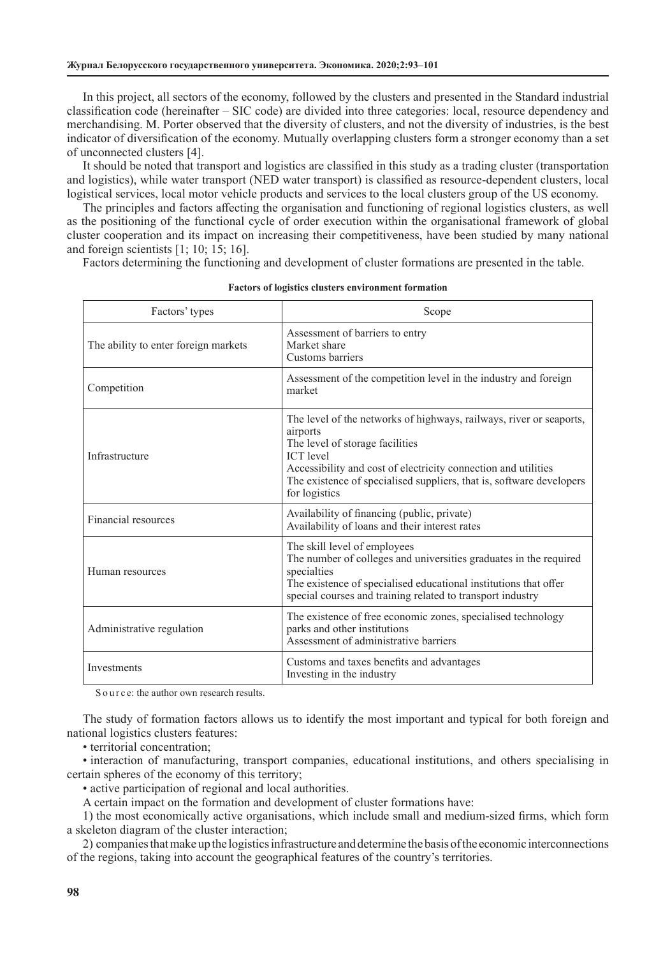In this project, all sectors of the economy, followed by the clusters and presented in the Standard industrial classification code (hereinafter – SIC code) are divided into three categories: local, resource dependency and merchandising. M. Porter observed that the diversity of clusters, and not the diversity of industries, is the best indicator of diversification of the economy. Mutually overlapping clusters form a stronger economy than a set of unconnected clusters [4].

It should be noted that transport and logistics are classified in this study as a trading cluster (transportation and logistics), while water transport (NED water transport) is classified as resource-dependent clusters, local logistical services, local motor vehicle products and services to the local clusters group of the US economy.

The principles and factors affecting the organisation and functioning of regional logistics clusters, as well as the positioning of the functional cycle of order execution within the organisational framework of global cluster cooperation and its impact on increasing their competitiveness, have been studied by many national and foreign scientists [1; 10; 15; 16].

Factors determining the functioning and development of cluster formations are presented in the table.

| Factors' types                       | Scope                                                                                                                                                                                                                                                                                             |
|--------------------------------------|---------------------------------------------------------------------------------------------------------------------------------------------------------------------------------------------------------------------------------------------------------------------------------------------------|
| The ability to enter foreign markets | Assessment of barriers to entry<br>Market share<br>Customs barriers                                                                                                                                                                                                                               |
| Competition                          | Assessment of the competition level in the industry and foreign<br>market                                                                                                                                                                                                                         |
| Infrastructure                       | The level of the networks of highways, railways, river or seaports,<br>airports<br>The level of storage facilities<br><b>ICT</b> level<br>Accessibility and cost of electricity connection and utilities<br>The existence of specialised suppliers, that is, software developers<br>for logistics |
| Financial resources                  | Availability of financing (public, private)<br>Availability of loans and their interest rates                                                                                                                                                                                                     |
| Human resources                      | The skill level of employees<br>The number of colleges and universities graduates in the required<br>specialties<br>The existence of specialised educational institutions that offer<br>special courses and training related to transport industry                                                |
| Administrative regulation            | The existence of free economic zones, specialised technology<br>parks and other institutions<br>Assessment of administrative barriers                                                                                                                                                             |
| Investments                          | Customs and taxes benefits and advantages<br>Investing in the industry                                                                                                                                                                                                                            |

### **Factors of logistics clusters environment formation**

S o u r c e: the author own research results.

The study of formation factors allows us to identify the most important and typical for both foreign and national logistics clusters features:

• territorial concentration;

• interaction of manufacturing, transport companies, educational institutions, and others specialising in certain spheres of the economy of this territory;

• active participation of regional and local authorities.

A certain impact on the formation and development of cluster formations have:

1) the most economically active organisations, which include small and medium-sized firms, which form a skeleton diagram of the cluster interaction;

2) companies that make up the logistics infrastructure and determine the basis of the economic interconnections of the regions, taking into account the geographical features of the country's territories.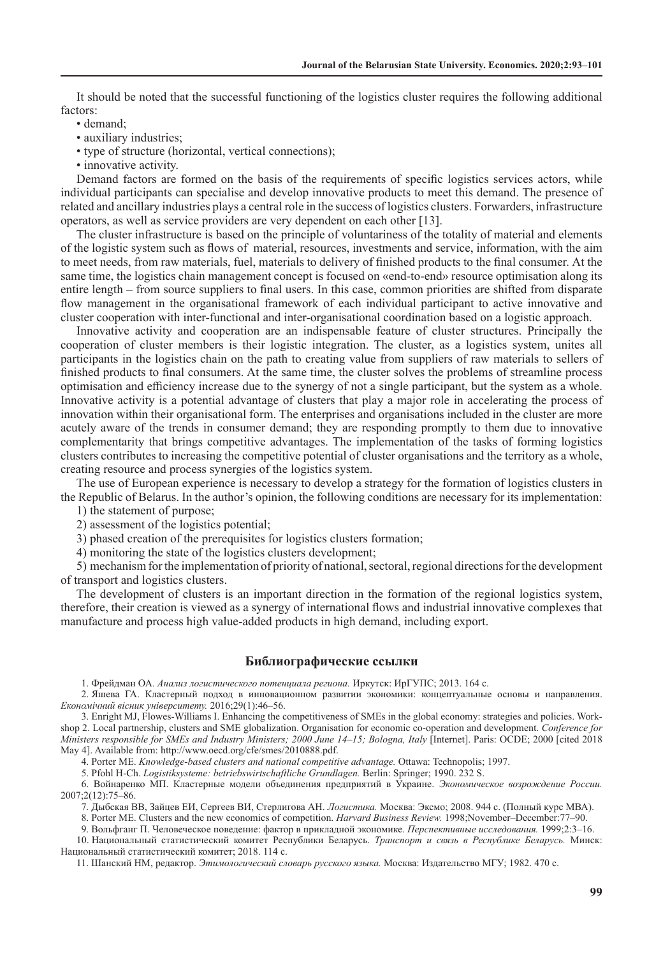It should be noted that the successful functioning of the logistics cluster requires the following additional factors:

- demand;
- auxiliary industries;
- type of structure (horizontal, vertical connections);
- innovative activity.

Demand factors are formed on the basis of the requirements of specific logistics services actors, while individual participants can specialise and develop innovative products to meet this demand. The presence of related and ancillary industries plays a central role in the success of logistics clusters. Forwarders, infrastructure operators, as well as service providers are very dependent on each other [13].

The cluster infrastructure is based on the principle of voluntariness of the totality of material and elements of the logistic system such as flows of material, resources, investments and service, information, with the aim to meet needs, from raw materials, fuel, materials to delivery of finished products to the final consumer*.* At the same time, the logistics chain management concept is focused on «end-to-end» resource optimisation along its entire length – from source suppliers to final users. In this case, common priorities are shifted from disparate flow management in the organisational framework of each individual participant to active innovative and cluster cooperation with inter-functional and inter-organisational coordination based on a logistic approach.

Innovative activity and cooperation are an indispensable feature of cluster structures. Principally the cooperation of cluster members is their logistic integration. The cluster, as a logistics system, unites all participants in the logistics chain on the path to creating value from suppliers of raw materials to sellers of finished products to final consumers. At the same time, the cluster solves the problems of streamline process optimisation and efficiency increase due to the synergy of not a single participant, but the system as a whole. Innovative activity is a potential advantage of clusters that play a major role in accelerating the process of innovation within their organisational form. The enterprises and organisations included in the cluster are more acutely aware of the trends in consumer demand; they are responding promptly to them due to innovative complementarity that brings competitive advantages. The implementation of the tasks of forming logistics clusters contributes to increasing the competitive potential of cluster organisations and the territory as a whole, creating resource and process synergies of the logistics system.

The use of European experience is necessary to develop a strategy for the formation of logistics clusters in the Republic of Belarus. In the author's opinion, the following conditions are necessary for its implementation:

1) the statement of purpose;

2) assessment of the logistics potential;

3) phased creation of the prerequisites for logistics clusters formation;

4) monitoring the state of the logistics clusters development;

5) mechanism for the implementation of priority of national, sectoral, regional directions for the development of transport and logistics clusters.

The development of clusters is an important direction in the formation of the regional logistics system, therefore, their creation is viewed as a synergy of international flows and industrial innovative complexes that manufacture and process high value-added products in high demand, including export.

## **Библиографические ссылки**

1. Фрейдман ОА. *Анализ логистического потенциала региона.* Иркутск: ИрГУПС; 2013. 164 с.

2. Яшева ГА. Кластерный подход в инновационном развитии экономики: концептуальные основы и направления. *Eкономiчний вісник університету.* 2016;29(1):46–56.

3. Enright MJ, Flowes-Williams I. Enhancing the competitiveness of SMEs in the global economy: strategies and policies. Workshop 2. Local partnership, clusters and SME globalization. Organisation for economic co-operation and development. *Conference for Ministers responsible for SMEs and Industry Ministers; 2000 June 14–15; Bologna, Italy* [Internet]. Paris: OCDE; 2000 [cited 2018 May 4]. Available from: http://www.oecd.org/cfe/smes/2010888.pdf.

4. Porter ME. *Knowledge-based clusters and national competitive advantage.* Ottawa: Technopolis; 1997.

5. Pfohl H-Ch. *Logistiksysteme: betriebswirtschaftliche Grundlagen.* Berlin: Springer; 1990. 232 S.

6. Войнаренко МП. Кластерные модели объединения предприятий в Украине. *Экономическое возрождение России.* 2007;2(12):75–86.

7. Дыбская ВВ, Зайцев ЕИ, Сергеев ВИ, Стерлигова АН. *Логистика.* Москва: Эксмо; 2008. 944 с. (Полный курс МВА).

8. Porter ME. Clusters and the new economics of competition. *Harvard Business Review.* 1998;November–December:77–90.

9. Вольфганг П. Человеческое поведение: фактор в прикладной экономике. *Перспективные исследования.* 1999;2:3–16.

10. Национальный статистический комитет Республики Беларусь. *Транспорт и связь в Республике Беларусь.* Минск: Национальный статистический комитет; 2018. 114 с.

11. Шанский НМ, редактор. *Этимологический словарь русского языка.* Москва: Издательство МГУ; 1982. 470 с.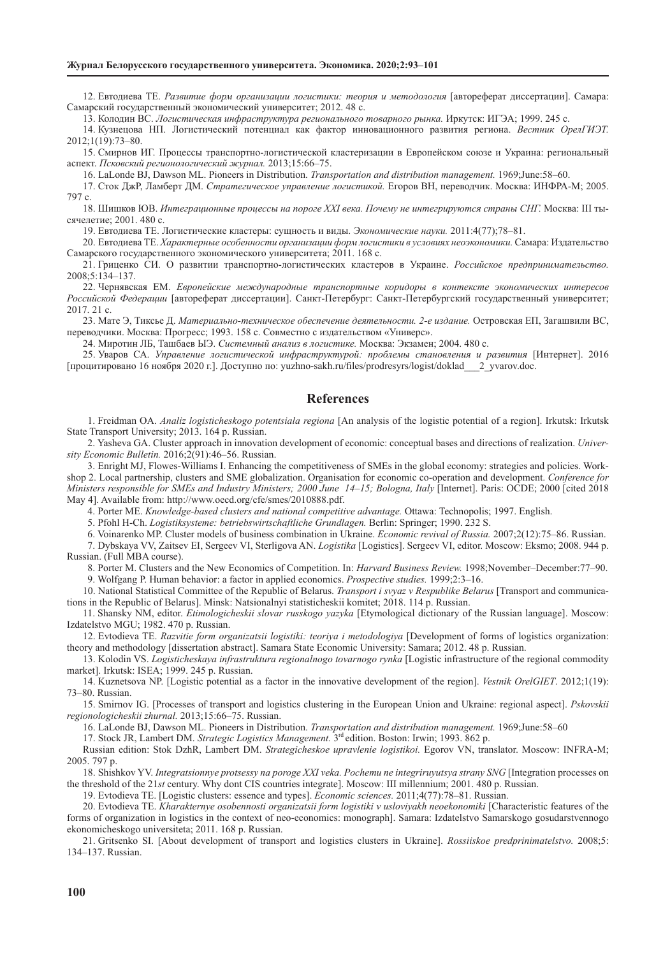12. Евтодиева ТЕ. *Развитие форм организации логистики: теория и методология* [автореферат диссертации]. Самара: Самарский государственный экономический университет; 2012. 48 с.

13. Колодин ВС. *Логистическая инфраструктура регионального товарного рынка.* Иркутск: ИГЭА; 1999. 245 с.

14. Кузнецова НП. Логистический потенциал как фактор инновационного развития региона. *Вестник ОрелГИЭТ.*  2012;1(19):73–80.

15. Смирнов ИГ. Процессы транспортно-логистической кластеризации в Европейском союзе и Украина: региональный аспект. *Псковский регионологический журнал.* 2013;15:66–75.

16. LaLonde BJ, Dawson ML. Pioneers in Distribution. *Transportation and distribution management.* 1969;June:58–60.

17. Сток ДжР, Ламберт ДМ. *Стратегическое управление логистикой.* Егоров ВН, переводчик. Москва: ИНФРА-М; 2005. 797 с.

18. Шишков ЮВ. *Интеграционные процессы на пороге XXI века. Почему не интегрируются страны СНГ.* Москва: III тысячелетие; 2001. 480 с.

19. Евтодиева ТЕ. Логистические кластеры: сущность и виды. *Экономические науки.* 2011:4(77);78–81.

20. Евтодиева ТЕ. *Характерные особенности организации форм логистики в условиях неоэкономики.* Самара: Издательство Самарского государственного экономического университета; 2011. 168 с.

21. Гриценко СИ. О развитии транспортно-логистических кластеров в Украине. *Российское предпринимательство.*  2008;5:134–137.

22. Чернявская ЕМ. *Европейские международные транспортные коридоры в контексте экономических интересов Российской Федерации* [автореферат диссертации]. Санкт-Петербург: Санкт-Петербургский государственный университет; 2017. 21 c.

23. Мате Э, Тиксье Д. *Материально-техническое обеспечение деятельности. 2-е издание.* Островская ЕП, Загашвили ВС, переводчики. Москва: Прогресс; 1993. 158 c. Совместно с издательством «Универс».

24. Миротин ЛБ, Ташбаев ЫЭ. *Системный анализ в логистике.* Москва: Экзамен; 2004. 480 с.

25. Уваров СА. *Управление логистической инфраструктурой: проблемы становления и развития* [Интернет]. 2016 [процитировано 16 ноября 2020 г.]. Доступно по: yuzhno-sakh.ru/files/prodresyrs/logist/doklad\_\_\_2\_yvarov.doc.

## **References**

1. Freidman OA. *Analiz logisticheskogo potentsiala regiona* [An analysis of the logistic potential of a region]. Irkutsk: Irkutsk State Transport University; 2013. 164 p. Russian.

2. Yasheva GA. Сluster approach in innovation development of economic: conceptual bases and directions of realization. *University Economic Bulletin.* 2016;2(91):46–56. Russian.

3. Enright MJ, Flowes-Williams I. Enhancing the competitiveness of SMEs in the global economy: strategies and policies. Workshop 2. Local partnership, clusters and SME globalization. Organisation for economic co-operation and development. *Conference for Ministers responsible for SMEs and Industry Ministers; 2000 June 14–15; Bologna, Italy* [Internet]. Paris: OCDE; 2000 [cited 2018 May 4]. Available from: http://www.oecd.org/cfe/smes/2010888.pdf.

4. Porter ME. *Knowledge-based clusters and national competitive advantage.* Ottawa: Technopolis; 1997. English.

5. Pfohl H-Ch. *Logistiksysteme: betriebswirtschaftliche Grundlagen.* Berlin: Springer; 1990. 232 S.

6. Voinarenko MP. Cluster models of business combination in Ukraine. *Economic revival of Russia.* 2007;2(12):75–86. Russian. 7. Dybskaya VV, Zaitsev EI, Sergeev VI, Sterligova AN. *Logistika* [Logistics]. Sergeev VI, editor. Moscow: Eksmo; 2008. 944 p. Russian. (Full MBA course).

8. Porter M. Clusters and the New Economics of Competition. In: *Harvard Business Review.* 1998;November–December:77–90.

9. Wolfgang P. Human behavior: a factor in applied economics. *Prospective studies.* 1999;2:3–16.

10. National Statistical Committee of the Republic of Belarus. *Transport i svyaz v Respublike Belarus* [Transport and communications in the Republic of Belarus]. Minsk: Natsionalnyi statisticheskii komitet; 2018. 114 p. Russian.

11. Shansky NM, editor. *Etimologicheskii slovar russkogo yazyka* [Etymological dictionary of the Russian language]. Moscow: Izdatelstvo MGU; 1982. 470 p. Russian.

12. Evtodieva TE. *Razvitie form organizatsii logistiki: teoriya i metodologiya* [Development of forms of logistics organization: theory and methodology [dissertation abstract]. Samara State Economic University: Samara; 2012. 48 p. Russian.

13. Kolodin VS. *Logisticheskaya infrastruktura regionalnogo tovarnogo rynka* [Logistic infrastructure of the regional commodity market]. Irkutsk: ISEA; 1999. 245 p. Russian.

14. Kuznetsova NP. [Logistic potential as a factor in the innovative development of the region]. *Vestnik OrelGIET*. 2012;1(19): 73–80. Russian.

15. Smirnov IG. [Processes of transport and logistics clustering in the European Union and Ukraine: regional aspect]. *Рskovskii regionologicheskii zhurnal.* 2013;15:66–75. Russian.

16. LaLonde BJ, Dawson ML. Pioneers in Distribution. *Transportation and distribution management.* 1969;June:58–60

17. Stock JR, Lambert DM. *Strategic Logistics Management.* 3rd edition. Boston: Irwin; 1993. 862 p.

Russian edition: Stok DzhR, Lambert DM. *Strategicheskoe upravlenie logistikoi.* Egorov VN, translator. Moscow: INFRA-M; 2005. 797 p.

18. Shishkov YV. *Integratsionnye protsessy na poroge XXI veka. Pochemu ne integriruyutsya strany SNG* [Integration processes on the threshold of the 21*st* century. Why dont CIS countries integrate]. Moscow: III millennium; 2001. 480 p. Russian.

19. Evtodieva TE. [Logistic clusters: essence and types]. *Economic sciences.* 2011;4(77):78–81. Russian.

20. Evtodieva TE. Kharakternye osobennosti organizatsii form logistiki v usloviyakh neoekonomiki [Characteristic features of the forms of organization in logistics in the context of neo-economics: monograph]. Samara: Izdatelstvo Samarskogo gosudarstvennogo ekonomicheskogo universiteta; 2011. 168 p. Russian.

21. Gritsenko SI. [About development of transport and logistics clusters in Ukraine]. *Rossiiskoe predprinimatelstvo.* 2008;5: 134–137. Russian.